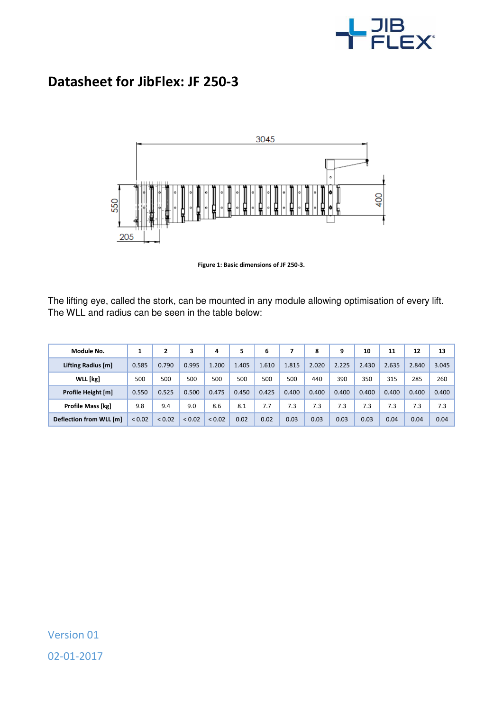

## **Datasheet for JibFlex: JF 250-3**





The lifting eye, called the stork, can be mounted in any module allowing optimisation of every lift. The WLL and radius can be seen in the table below:

| Module No.               |             | $\overline{2}$ | 3           | 4           | 5     | 6     |       | 8     | 9     | 10    | 11    | 12    | 13    |
|--------------------------|-------------|----------------|-------------|-------------|-------|-------|-------|-------|-------|-------|-------|-------|-------|
| Lifting Radius [m]       | 0.585       | 0.790          | 0.995       | 1.200       | 1.405 | 1.610 | 1.815 | 2.020 | 2.225 | 2.430 | 2.635 | 2.840 | 3.045 |
| WLL [kg]                 | 500         | 500            | 500         | 500         | 500   | 500   | 500   | 440   | 390   | 350   | 315   | 285   | 260   |
| Profile Height [m]       | 0.550       | 0.525          | 0.500       | 0.475       | 0.450 | 0.425 | 0.400 | 0.400 | 0.400 | 0.400 | 0.400 | 0.400 | 0.400 |
| <b>Profile Mass [kg]</b> | 9.8         | 9.4            | 9.0         | 8.6         | 8.1   | 7.7   | 7.3   | 7.3   | 7.3   | 7.3   | 7.3   | 7.3   | 7.3   |
| Deflection from WLL [m]  | ${}_{0.02}$ | ${}_{0.02}$    | ${}_{0.02}$ | ${}_{0.02}$ | 0.02  | 0.02  | 0.03  | 0.03  | 0.03  | 0.03  | 0.04  | 0.04  | 0.04  |